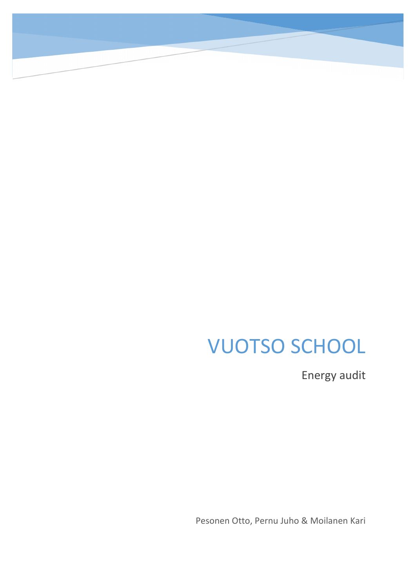# VUOTSO SCHOOL

Energy audit

Pesonen Otto, Pernu Juho & Moilanen Kari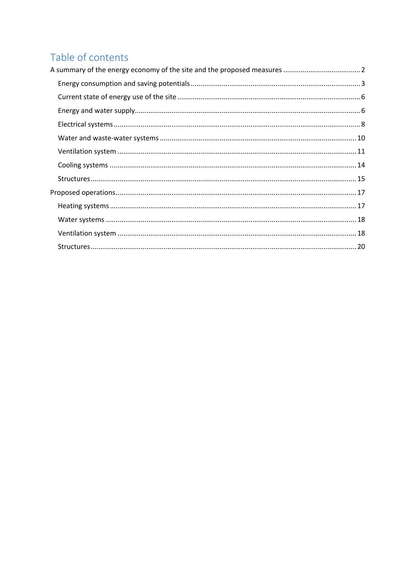# Table of contents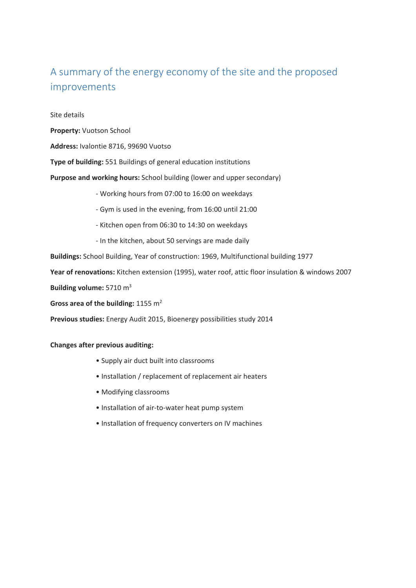# <span id="page-2-0"></span>A summary of the energy economy of the site and the proposed improvements

Site details

**Property:** Vuotson School

**Address:** Ivalontie 8716, 99690 Vuotso

**Type of building:** 551 Buildings of general education institutions

**Purpose and working hours:** School building (lower and upper secondary)

- Working hours from 07:00 to 16:00 on weekdays

- Gym is used in the evening, from 16:00 until 21:00
- Kitchen open from 06:30 to 14:30 on weekdays
- In the kitchen, about 50 servings are made daily

**Buildings:** School Building, Year of construction: 1969, Multifunctional building 1977

**Year of renovations:** Kitchen extension (1995), water roof, attic floor insulation & windows 2007

**Building volume:** 5710 m3

**Gross area of the building:** 1155 m2

**Previous studies:** Energy Audit 2015, Bioenergy possibilities study 2014

#### **Changes after previous auditing:**

- Supply air duct built into classrooms
- Installation / replacement of replacement air heaters
- Modifying classrooms
- Installation of air-to-water heat pump system
- Installation of frequency converters on IV machines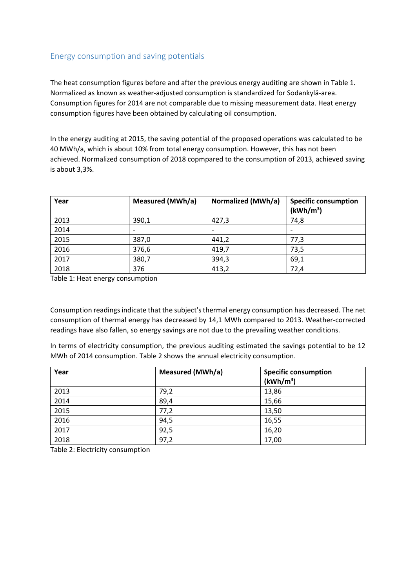# <span id="page-3-0"></span>Energy consumption and saving potentials

The heat consumption figures before and after the previous energy auditing are shown in Table 1. Normalized as known as weather-adjusted consumption is standardized for Sodankylä-area. Consumption figures for 2014 are not comparable due to missing measurement data. Heat energy consumption figures have been obtained by calculating oil consumption.

In the energy auditing at 2015, the saving potential of the proposed operations was calculated to be 40 MWh/a, which is about 10% from total energy consumption. However, this has not been achieved. Normalized consumption of 2018 copmpared to the consumption of 2013, achieved saving is about 3,3%.

| Year | Measured (MWh/a) | Normalized (MWh/a) | <b>Specific consumption</b><br>(kWh/m <sup>3</sup> ) |
|------|------------------|--------------------|------------------------------------------------------|
| 2013 | 390,1            | 427,3              | 74,8                                                 |
| 2014 |                  |                    |                                                      |
| 2015 | 387,0            | 441,2              | 77,3                                                 |
| 2016 | 376,6            | 419,7              | 73,5                                                 |
| 2017 | 380,7            | 394,3              | 69,1                                                 |
| 2018 | 376              | 413,2              | 72,4                                                 |

Table 1: Heat energy consumption

Consumption readings indicate that the subject's thermal energy consumption has decreased. The net consumption of thermal energy has decreased by 14,1 MWh compared to 2013. Weather-corrected readings have also fallen, so energy savings are not due to the prevailing weather conditions.

In terms of electricity consumption, the previous auditing estimated the savings potential to be 12 MWh of 2014 consumption. Table 2 shows the annual electricity consumption.

| Year | Measured (MWh/a) | <b>Specific consumption</b><br>(kWh/m <sup>3</sup> ) |
|------|------------------|------------------------------------------------------|
| 2013 | 79,2             | 13,86                                                |
| 2014 | 89,4             | 15,66                                                |
| 2015 | 77,2             | 13,50                                                |
| 2016 | 94,5             | 16,55                                                |
| 2017 | 92,5             | 16,20                                                |
| 2018 | 97,2             | 17,00                                                |

Table 2: Electricity consumption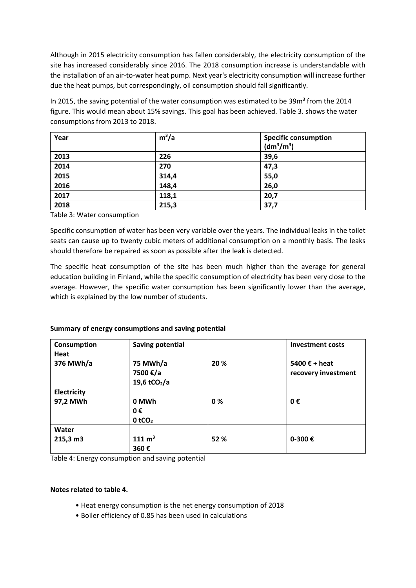Although in 2015 electricity consumption has fallen considerably, the electricity consumption of the site has increased considerably since 2016. The 2018 consumption increase is understandable with the installation of an air-to-water heat pump. Next year's electricity consumption will increase further due the heat pumps, but correspondingly, oil consumption should fall significantly.

In 2015, the saving potential of the water consumption was estimated to be  $39m<sup>3</sup>$  from the 2014 figure. This would mean about 15% savings. This goal has been achieved. Table 3. shows the water consumptions from 2013 to 2018.

| Year | $m^3/a$ | <b>Specific consumption</b><br>(dm <sup>3</sup> /m <sup>3</sup> ) |
|------|---------|-------------------------------------------------------------------|
| 2013 | 226     | 39,6                                                              |
| 2014 | 270     | 47,3                                                              |
| 2015 | 314,4   | 55,0                                                              |
| 2016 | 148,4   | 26,0                                                              |
| 2017 | 118,1   | 20,7                                                              |
| 2018 | 215,3   | 37,7                                                              |

Table 3: Water consumption

Specific consumption of water has been very variable over the years. The individual leaks in the toilet seats can cause up to twenty cubic meters of additional consumption on a monthly basis. The leaks should therefore be repaired as soon as possible after the leak is detected.

The specific heat consumption of the site has been much higher than the average for general education building in Finland, while the specific consumption of electricity has been very close to the average. However, the specific water consumption has been significantly lower than the average, which is explained by the low number of students.

# **Summary of energy consumptions and saving potential**

| Consumption | <b>Saving potential</b>  |      | <b>Investment costs</b> |
|-------------|--------------------------|------|-------------------------|
| Heat        |                          |      |                         |
| 376 MWh/a   | 75 MWh/a                 | 20 % | 5400 $\epsilon$ + heat  |
|             | 7500 €/a                 |      | recovery investment     |
|             | 19,6 tCO <sub>2</sub> /a |      |                         |
| Electricity |                          |      |                         |
| 97,2 MWh    | 0 MWh                    | 0%   | 0€                      |
|             | 0€                       |      |                         |
|             | $0$ tCO <sub>2</sub>     |      |                         |
| Water       |                          |      |                         |
| 215,3 m3    | $111 \text{ m}^3$        | 52 % | 0-300 €                 |
|             | 360€                     |      |                         |

Table 4: Energy consumption and saving potential

# **Notes related to table 4.**

- Heat energy consumption is the net energy consumption of 2018
- Boiler efficiency of 0.85 has been used in calculations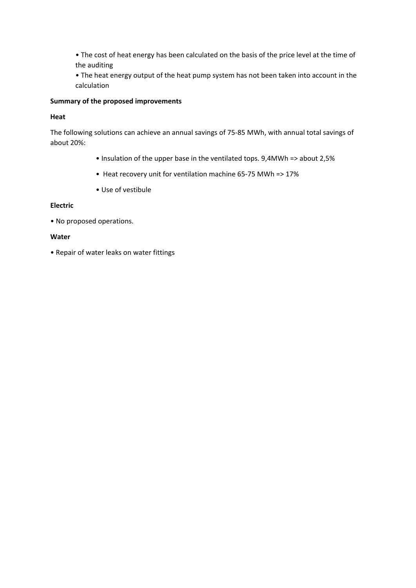• The cost of heat energy has been calculated on the basis of the price level at the time of the auditing

• The heat energy output of the heat pump system has not been taken into account in the calculation

# **Summary of the proposed improvements**

#### **Heat**

The following solutions can achieve an annual savings of 75-85 MWh, with annual total savings of about 20%:

- Insulation of the upper base in the ventilated tops. 9,4MWh => about 2,5%
- Heat recovery unit for ventilation machine 65-75 MWh => 17%
- Use of vestibule

# **Electric**

• No proposed operations.

#### **Water**

• Repair of water leaks on water fittings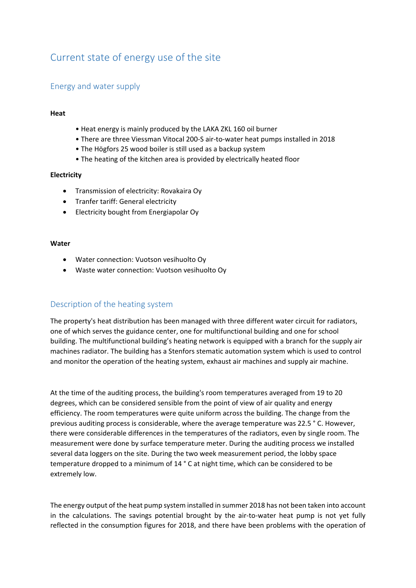# <span id="page-6-0"></span>Current state of energy use of the site

# <span id="page-6-1"></span>Energy and water supply

# **Heat**

- Heat energy is mainly produced by the LAKA ZKL 160 oil burner
- There are three Viessman Vitocal 200-S air-to-water heat pumps installed in 2018
- The Högfors 25 wood boiler is still used as a backup system
- The heating of the kitchen area is provided by electrically heated floor

# **Electricity**

- Transmission of electricity: Rovakaira Oy
- Tranfer tariff: General electricity
- Electricity bought from Energiapolar Oy

#### **Water**

- Water connection: Vuotson vesihuolto Oy
- Waste water connection: Vuotson vesihuolto Oy

# Description of the heating system

The property's heat distribution has been managed with three different water circuit for radiators, one of which serves the guidance center, one for multifunctional building and one for school building. The multifunctional building's heating network is equipped with a branch for the supply air machines radiator. The building has a Stenfors stematic automation system which is used to control and monitor the operation of the heating system, exhaust air machines and supply air machine.

At the time of the auditing process, the building's room temperatures averaged from 19 to 20 degrees, which can be considered sensible from the point of view of air quality and energy efficiency. The room temperatures were quite uniform across the building. The change from the previous auditing process is considerable, where the average temperature was 22.5 ° C. However, there were considerable differences in the temperatures of the radiators, even by single room. The measurement were done by surface temperature meter. During the auditing process we installed several data loggers on the site. During the two week measurement period, the lobby space temperature dropped to a minimum of 14 ° C at night time, which can be considered to be extremely low.

The energy output of the heat pump system installed in summer 2018 has not been taken into account in the calculations. The savings potential brought by the air-to-water heat pump is not yet fully reflected in the consumption figures for 2018, and there have been problems with the operation of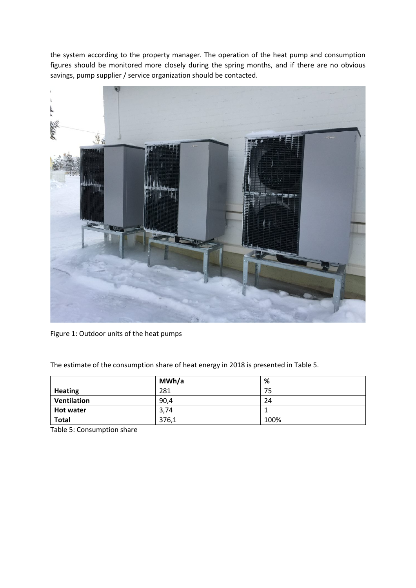the system according to the property manager. The operation of the heat pump and consumption figures should be monitored more closely during the spring months, and if there are no obvious savings, pump supplier / service organization should be contacted.



Figure 1: Outdoor units of the heat pumps

The estimate of the consumption share of heat energy in 2018 is presented in Table 5.

|                    | MWh/a | %    |
|--------------------|-------|------|
| <b>Heating</b>     | 281   | 75   |
| <b>Ventilation</b> | 90,4  | 24   |
| Hot water          | 3,74  |      |
| <b>Total</b>       | 376,1 | 100% |

Table 5: Consumption share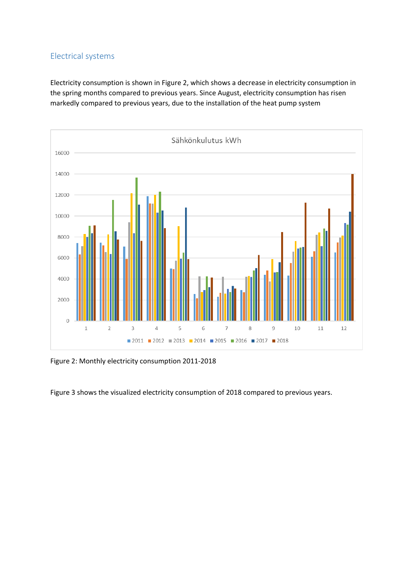# <span id="page-8-0"></span>Electrical systems

Electricity consumption is shown in Figure 2, which shows a decrease in electricity consumption in the spring months compared to previous years. Since August, electricity consumption has risen markedly compared to previous years, due to the installation of the heat pump system



Figure 2: Monthly electricity consumption 2011-2018

Figure 3 shows the visualized electricity consumption of 2018 compared to previous years.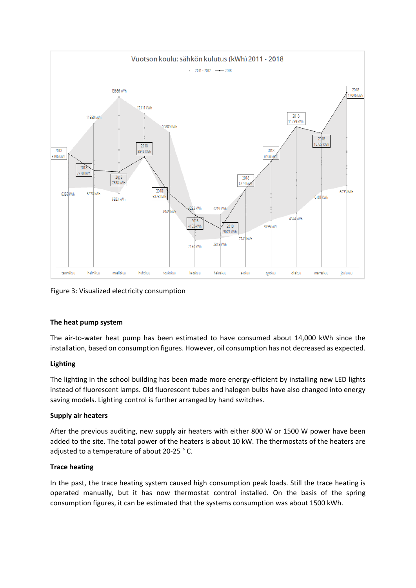

Figure 3: Visualized electricity consumption

# **The heat pump system**

The air-to-water heat pump has been estimated to have consumed about 14,000 kWh since the installation, based on consumption figures. However, oil consumption has not decreased as expected.

# **Lighting**

The lighting in the school building has been made more energy-efficient by installing new LED lights instead of fluorescent lamps. Old fluorescent tubes and halogen bulbs have also changed into energy saving models. Lighting control is further arranged by hand switches.

# **Supply air heaters**

After the previous auditing, new supply air heaters with either 800 W or 1500 W power have been added to the site. The total power of the heaters is about 10 kW. The thermostats of the heaters are adjusted to a temperature of about 20-25 ° C.

# **Trace heating**

In the past, the trace heating system caused high consumption peak loads. Still the trace heating is operated manually, but it has now thermostat control installed. On the basis of the spring consumption figures, it can be estimated that the systems consumption was about 1500 kWh.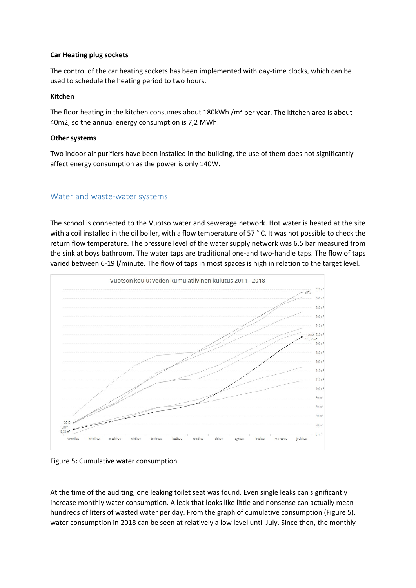# **Car Heating plug sockets**

The control of the car heating sockets has been implemented with day-time clocks, which can be used to schedule the heating period to two hours.

# **Kitchen**

The floor heating in the kitchen consumes about 180kWh / $m^2$  per year. The kitchen area is about 40m2, so the annual energy consumption is 7,2 MWh.

# **Other systems**

Two indoor air purifiers have been installed in the building, the use of them does not significantly affect energy consumption as the power is only 140W.

# <span id="page-10-0"></span>Water and waste-water systems

The school is connected to the Vuotso water and sewerage network. Hot water is heated at the site with a coil installed in the oil boiler, with a flow temperature of 57 ° C. It was not possible to check the return flow temperature. The pressure level of the water supply network was 6.5 bar measured from the sink at boys bathroom. The water taps are traditional one-and two-handle taps. The flow of taps varied between 6-19 l/minute. The flow of taps in most spaces is high in relation to the target level.



Figure 5**:** Cumulative water consumption

At the time of the auditing, one leaking toilet seat was found. Even single leaks can significantly increase monthly water consumption. A leak that looks like little and nonsense can actually mean hundreds of liters of wasted water per day. From the graph of cumulative consumption (Figure 5), water consumption in 2018 can be seen at relatively a low level until July. Since then, the monthly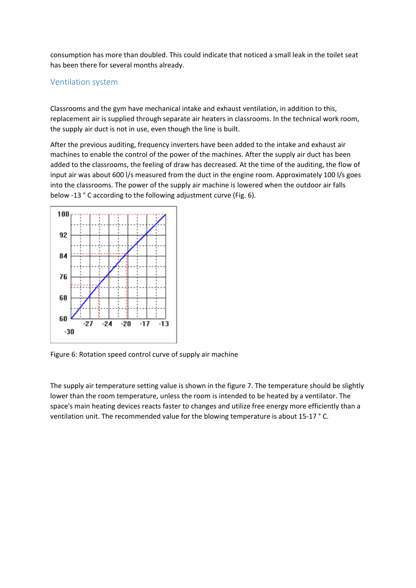consumption has more than doubled. This could indicate that noticed a small leak in the toilet seat has been there for several months already.

# <span id="page-11-0"></span>Ventilation system

Classrooms and the gym have mechanical intake and exhaust ventilation, in addition to this, replacement air is supplied through separate air heaters in classrooms. In the technical work room, the supply air duct is not in use, even though the line is built.

After the previous auditing, frequency inverters have been added to the intake and exhaust air machines to enable the control of the power of the machines. After the supply air duct has been added to the classrooms, the feeling of draw has decreased. At the time of the auditing, the flow of input air was about 600 l/s measured from the duct in the engine room. Approximately 100 l/s goes into the classrooms. The power of the supply air machine is lowered when the outdoor air falls below -13 ° C according to the following adjustment curve (Fig. 6).



Figure 6: Rotation speed control curve of supply air machine

The supply air temperature setting value is shown in the figure 7. The temperature should be slightly lower than the room temperature, unless the room is intended to be heated by a ventilator. The space's main heating devices reacts faster to changes and utilize free energy more efficiently than a ventilation unit. The recommended value for the blowing temperature is about 15-17 ° C.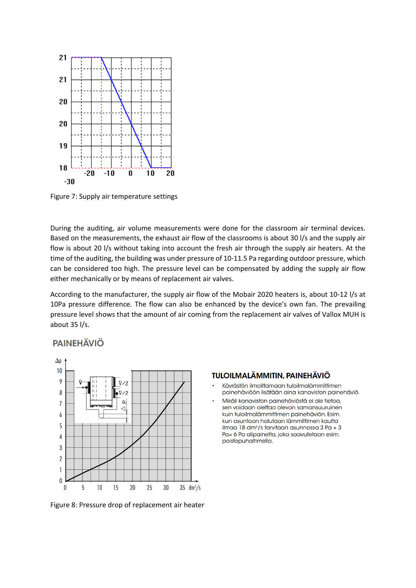

Figure 7: Supply air temperature settings

During the auditing, air volume measurements were done for the classroom air terminal devices. Based on the measurements, the exhaust air flow of the classrooms is about 30 l/s and the supply air flow is about 20 l/s without taking into account the fresh air through the supply air heaters. At the time of the auditing, the building was under pressure of 10-11.5 Pa regarding outdoor pressure, which can be considered too high. The pressure level can be compensated by adding the supply air flow either mechanically or by means of replacement air valves.

According to the manufacturer, the supply air flow of the Mobair 2020 heaters is, about 10-12 l/s at 10Pa pressure difference. The flow can also be enhanced by the device's own fan. The prevailing pressure level shows that the amount of air coming from the replacement air valves of Vallox MUH is about 35 l/s.

# **PAINEHÄVIÖ**



**TULOILMALÄMMITIN, PAINEHÄVIÖ** 

- Käyrästön ilmoittamaan tuloilmalämmittimen painehäviöön lisätään aina kanaviston painehäviö.
- Mikäli kanaviston painehäviöstä ei ole tietoa, sen voidaan olettaa olevan samansuuruinen kuin tuloilmalämmittimen painehäviön. Esim. kun asuntoon halutaan lämmittimen kautta ilmaa 18 dm<sup>3</sup>/s tarvitaan asunnossa 3 Pa + 3 Pa= 6 Pa alipainetta, joka saavutetaan esim. poistopuhaltimella.

Figure 8: Pressure drop of replacement air heater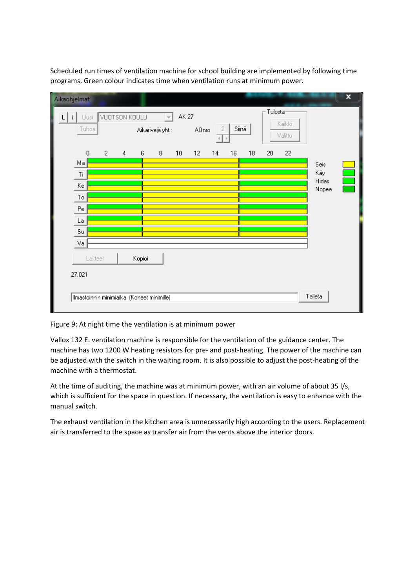Scheduled run times of ventilation machine for school building are implemented by following time programs. Green colour indicates time when ventilation runs at minimum power.

| Aikaohjelmat      |               |                                            |                |        |                                       |                 |                   |                |                               |    |         |                   |              | × |
|-------------------|---------------|--------------------------------------------|----------------|--------|---------------------------------------|-----------------|-------------------|----------------|-------------------------------|----|---------|-------------------|--------------|---|
| $\mathbf{i}$<br>L | Uusi<br>Tuhoa | VUOTSON KOULU                              |                |        | $\overline{\psi}$<br>Aikarivejä yht.: | <b>AK 27</b>    | AOnro             | $\overline{2}$ | Siirrä<br>$\vert \cdot \vert$ |    | Tulosta | Kaikki<br>Valittu |              |   |
| Ma                | $\mathbf 0$   | $\overline{2}$                             | $\overline{4}$ | 6      | 8                                     | 10 <sub>1</sub> | $12 \overline{ }$ | ⊣∣<br>14       | 16                            | 18 | $20\,$  | 22                | Seis         |   |
| Ti                |               |                                            |                |        |                                       |                 |                   |                |                               |    |         |                   | Käy<br>Hidas |   |
| Ke<br>To          |               |                                            |                |        |                                       |                 |                   |                |                               |    |         |                   | Nopea        |   |
| Pe<br>La          |               |                                            |                |        |                                       |                 |                   |                |                               |    |         |                   |              |   |
| Su                |               |                                            |                |        |                                       |                 |                   |                |                               |    |         |                   |              |   |
| Va<br>27.021      | Laitteet      |                                            |                | Kopioi |                                       |                 |                   |                |                               |    |         |                   |              |   |
|                   |               | Ilmastoinnin minimiaika (Koneet minimille) |                |        |                                       |                 |                   |                |                               |    |         |                   | Talleta      |   |

Figure 9: At night time the ventilation is at minimum power

Vallox 132 E. ventilation machine is responsible for the ventilation of the guidance center. The machine has two 1200 W heating resistors for pre- and post-heating. The power of the machine can be adjusted with the switch in the waiting room. It is also possible to adjust the post-heating of the machine with a thermostat.

At the time of auditing, the machine was at minimum power, with an air volume of about 35 l/s, which is sufficient for the space in question. If necessary, the ventilation is easy to enhance with the manual switch.

The exhaust ventilation in the kitchen area is unnecessarily high according to the users. Replacement air is transferred to the space as transfer air from the vents above the interior doors.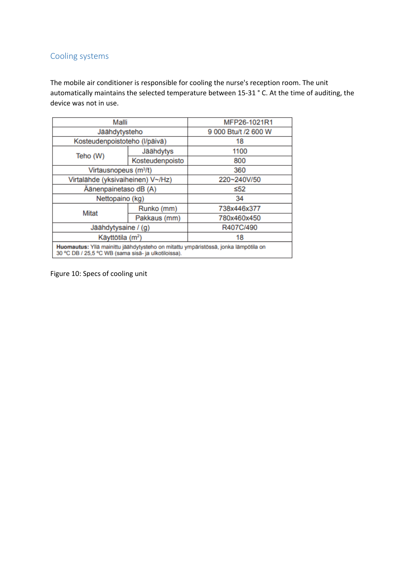# <span id="page-14-0"></span>Cooling systems

The mobile air conditioner is responsible for cooling the nurse's reception room. The unit automatically maintains the selected temperature between 15-31 ° C. At the time of auditing, the device was not in use.

| Malli                                                                                                                                     |                 | MFP26-1021R1         |  |  |
|-------------------------------------------------------------------------------------------------------------------------------------------|-----------------|----------------------|--|--|
| Jäähdytysteho                                                                                                                             |                 | 9 000 Btu/t /2 600 W |  |  |
| Kosteudenpoistoteho (I/päivä)                                                                                                             |                 | 18                   |  |  |
|                                                                                                                                           | Jäähdytys       | 1100                 |  |  |
| Teho (W)                                                                                                                                  | Kosteudenpoisto | 800                  |  |  |
| Virtausnopeus (m <sup>3</sup> /t)                                                                                                         |                 | 360                  |  |  |
| Virtalähde (yksivaiheinen) V~/Hz)                                                                                                         |                 | 220~240V/50          |  |  |
| Äänenpainetaso dB (A)                                                                                                                     |                 | $\leq 52$            |  |  |
| Nettopaino (kg)                                                                                                                           |                 | 34                   |  |  |
| Mitat                                                                                                                                     | Runko (mm)      | 738x446x377          |  |  |
|                                                                                                                                           | Pakkaus (mm)    | 780x460x450          |  |  |
| Jäähdytysaine / (g)                                                                                                                       |                 | R407C/490            |  |  |
| Käyttötila (m <sup>2</sup> )                                                                                                              |                 | 18                   |  |  |
| Huomautus: Yllä mainittu jäähdytysteho on mitattu ympäristössä, jonka lämpötila on<br>30 °C DB / 25.5 °C WB (sama sisä- ja ulkotiloissa). |                 |                      |  |  |

Figure 10: Specs of cooling unit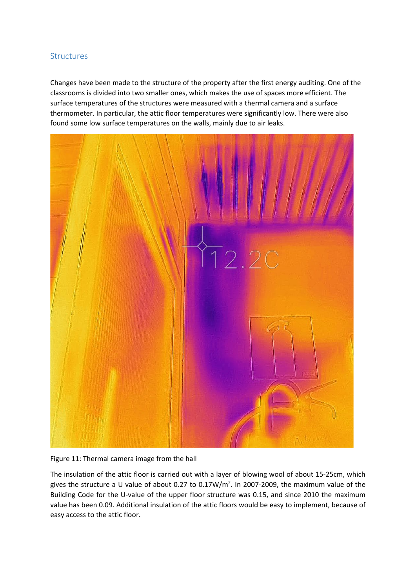# <span id="page-15-0"></span>**Structures**

Changes have been made to the structure of the property after the first energy auditing. One of the classrooms is divided into two smaller ones, which makes the use of spaces more efficient. The surface temperatures of the structures were measured with a thermal camera and a surface thermometer. In particular, the attic floor temperatures were significantly low. There were also found some low surface temperatures on the walls, mainly due to air leaks.



Figure 11: Thermal camera image from the hall

The insulation of the attic floor is carried out with a layer of blowing wool of about 15-25cm, which gives the structure a U value of about 0.27 to 0.17W/ $m^2$ . In 2007-2009, the maximum value of the Building Code for the U-value of the upper floor structure was 0.15, and since 2010 the maximum value has been 0.09. Additional insulation of the attic floors would be easy to implement, because of easy access to the attic floor.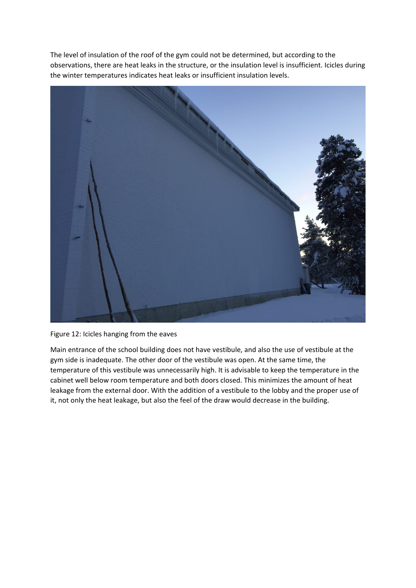The level of insulation of the roof of the gym could not be determined, but according to the observations, there are heat leaks in the structure, or the insulation level is insufficient. Icicles during the winter temperatures indicates heat leaks or insufficient insulation levels.



Figure 12: Icicles hanging from the eaves

Main entrance of the school building does not have vestibule, and also the use of vestibule at the gym side is inadequate. The other door of the vestibule was open. At the same time, the temperature of this vestibule was unnecessarily high. It is advisable to keep the temperature in the cabinet well below room temperature and both doors closed. This minimizes the amount of heat leakage from the external door. With the addition of a vestibule to the lobby and the proper use of it, not only the heat leakage, but also the feel of the draw would decrease in the building.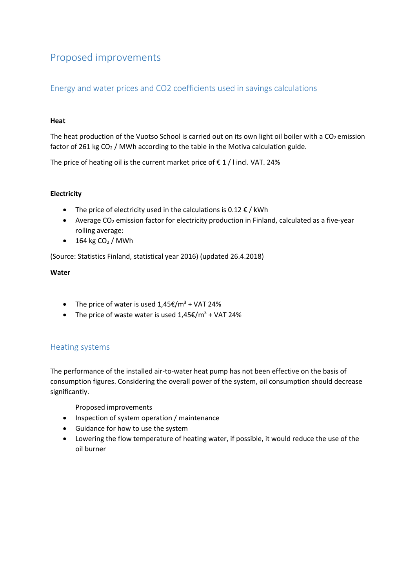# <span id="page-17-0"></span>Proposed improvements

# Energy and water prices and CO2 coefficients used in savings calculations

# **Heat**

The heat production of the Vuotso School is carried out on its own light oil boiler with a  $CO<sub>2</sub>$  emission factor of 261 kg  $CO<sub>2</sub>$  / MWh according to the table in the Motiva calculation guide.

The price of heating oil is the current market price of  $\epsilon$  1 / l incl. VAT. 24%

# **Electricity**

- The price of electricity used in the calculations is  $0.12 \notin /$  kWh
- Average  $CO<sub>2</sub>$  emission factor for electricity production in Finland, calculated as a five-year rolling average:
- $\bullet$  164 kg CO<sub>2</sub> / MWh

(Source: Statistics Finland, statistical year 2016) (updated 26.4.2018)

# **Water**

- The price of water is used  $1,45 \in \text{\textsterling} / m^3 + \text{\textsterling} / 24\%$
- The price of waste water is used  $1,45 \text{E/m}^3$  + VAT 24%

# <span id="page-17-1"></span>Heating systems

The performance of the installed air-to-water heat pump has not been effective on the basis of consumption figures. Considering the overall power of the system, oil consumption should decrease significantly.

Proposed improvements

- Inspection of system operation / maintenance
- Guidance for how to use the system
- Lowering the flow temperature of heating water, if possible, it would reduce the use of the oil burner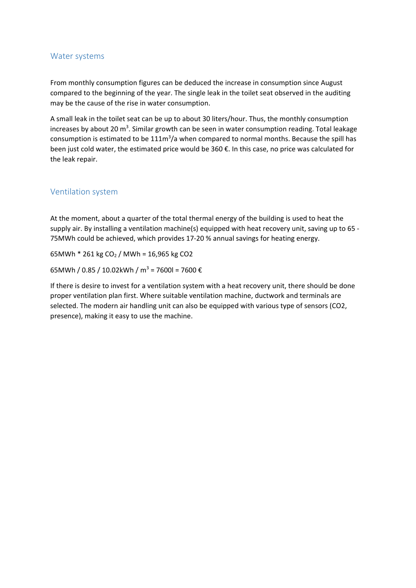# <span id="page-18-0"></span>Water systems

From monthly consumption figures can be deduced the increase in consumption since August compared to the beginning of the year. The single leak in the toilet seat observed in the auditing may be the cause of the rise in water consumption.

A small leak in the toilet seat can be up to about 30 liters/hour. Thus, the monthly consumption increases by about 20 m<sup>3</sup>. Similar growth can be seen in water consumption reading. Total leakage consumption is estimated to be  $111m^3/a$  when compared to normal months. Because the spill has been just cold water, the estimated price would be 360 €. In this case, no price was calculated for the leak repair.

# <span id="page-18-1"></span>Ventilation system

At the moment, about a quarter of the total thermal energy of the building is used to heat the supply air. By installing a ventilation machine(s) equipped with heat recovery unit, saving up to 65 - 75MWh could be achieved, which provides 17-20 % annual savings for heating energy.

65MWh  $*$  261 kg CO<sub>2</sub> / MWh = 16,965 kg CO2

65MWh / 0.85 / 10.02kWh / m<sup>3</sup> = 7600l = 7600 €

If there is desire to invest for a ventilation system with a heat recovery unit, there should be done proper ventilation plan first. Where suitable ventilation machine, ductwork and terminals are selected. The modern air handling unit can also be equipped with various type of sensors (CO2, presence), making it easy to use the machine.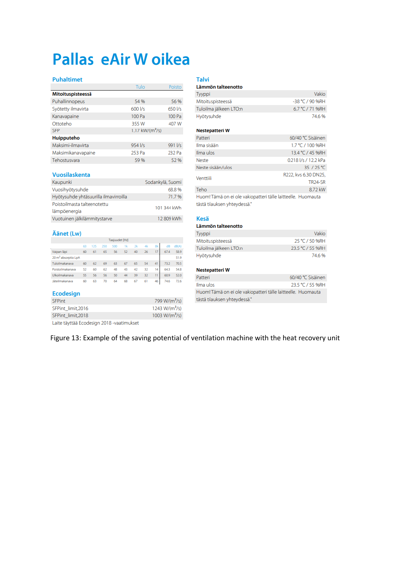# Pallas eAir W oikea

#### **Puhaltimet**

|                    | Tulo                | Poisto  |
|--------------------|---------------------|---------|
| Mitoituspisteessä  |                     |         |
| Puhallinnopeus     | 54 %                | 56 %    |
| Syötetty ilmavirta | 600 l/s             | 650 l/s |
| Kanavapaine        | 100 Pa              | 100 Pa  |
| Ottoteho           | 355W                | 407 W   |
| <b>SFP</b>         | 1.17 kW/( $m^3$ /s) |         |
| <b>Huipputeho</b>  |                     |         |
| Maksimi-ilmavirta  | 954 l/s             | 991 l/s |
| Maksimikanavapaine | 253 Pa              | 232 Pa  |
| Tehostusvara       | 59 %                | 52 %    |

#### Vuosilaskenta

| Kaupunki                              | Sodankylä, Suomi |
|---------------------------------------|------------------|
| Vuosihyötysuhde                       | 68.8%            |
| Hyötysuhde yhtäsuurilla ilmavirroilla | 71.7%            |
| Poistoilmasta talteenotettu           | 101 344 kWh      |
| lämpöenergia                          |                  |
| Vuotuinen jälkilämmitystarve          | 12 809 kWh       |

#### Äänet (Lw)

|                                 |    |     |     | Taajuudet [Hz] |    |    |    |    |      |       |
|---------------------------------|----|-----|-----|----------------|----|----|----|----|------|-------|
|                                 | 63 | 125 | 250 | 500            | 1k | 2k | 4k | 8k | dB   | dB(A) |
| Vaipan läpi                     | 60 | 61  | 65  | 56             | 52 | 40 | 26 | 17 | 67.4 | 58.9  |
| 20 m <sup>2</sup> absorptio LpA |    |     |     |                |    |    |    |    |      | 51.9  |
| Tuloilmakanava                  | 60 | 62  | 69  | 63             | 67 | 65 | 54 | 41 | 73.2 | 70.5  |
| Poistoilmakanava                | 52 | 60  | 62  | 48             | 43 | 42 | 32 | 14 | 64.3 | 54.8  |
| Ulkoilmakanava                  | 55 | 56  | 56  | 50             | 44 | 39 | 32 | п  | 60.9 | 52.0  |
| Jäteilmakanava                  | 60 | 63  | 70  | 64             | 68 | 67 | 61 | 46 | 74.6 | 72.6  |

#### Ecodesign

| <b>SFPint</b>                             | 799 W/(m <sup>3</sup> /s)  |
|-------------------------------------------|----------------------------|
| SFPint limit, 2016                        | 1243 W/(m <sup>3</sup> /s) |
| SFPint limit, 2018                        | 1003 W/( $m^3/s$ )         |
| Laite täyttää Ecodesign 2018 -vaatimukset |                            |

| <b>Talvi</b><br>Lämmön talteenotto |                   |
|------------------------------------|-------------------|
| Tyyppi                             | Vakio             |
| Mitoituspisteessä                  | $-38 °C / 90$ %RH |
| Tuloilma jälkeen LTO:n             | 6.7 °C / 71 %RH   |
| Hyötysuhde                         | 74.6%             |

#### Nestepatteri W

| Patteri                                                      | 60/40 ℃ Sisäinen     |  |
|--------------------------------------------------------------|----------------------|--|
| Ilma sisään                                                  | 1.7 °C / 100 %RH     |  |
| Ilma ulos                                                    | 13.4 °C / 45 %RH     |  |
| Neste                                                        | 0.218 I/s / 12.2 kPa |  |
| Neste sisään/ulos                                            | 35 / 25 °C           |  |
| Venttiili                                                    | R222, kvs 6.30 DN25, |  |
|                                                              | <b>TR24-SR</b>       |  |
| Teho                                                         | 8.72 kW              |  |
| Huom! Tämä on ei ole vakiopatteri tälle laitteelle. Huomauta |                      |  |
| tästä tilauksen yhteydessä."                                 |                      |  |

#### **Kesä** Lär män taltoonotta

| Lammon tance notto     |                  |
|------------------------|------------------|
| Tyyppi                 | Vakio            |
| Mitoituspisteessä      | 25 °C / 50 %RH   |
| Tuloilma jälkeen LTO:n | 23.5 °C / 55 %RH |
| Hyötysuhde             | 74.6%            |

# Nestepatteri W

| Patteri                                                      | 60/40 ℃ Sisäinen |
|--------------------------------------------------------------|------------------|
| Ilma ulos                                                    | 23.5 °C / 55 %RH |
| Huom! Tämä on ei ole vakiopatteri tälle laitteelle. Huomauta |                  |
| tästä tilauksen yhteydessä."                                 |                  |

# Figure 13: Example of the saving potential of ventilation machine with the heat recovery unit